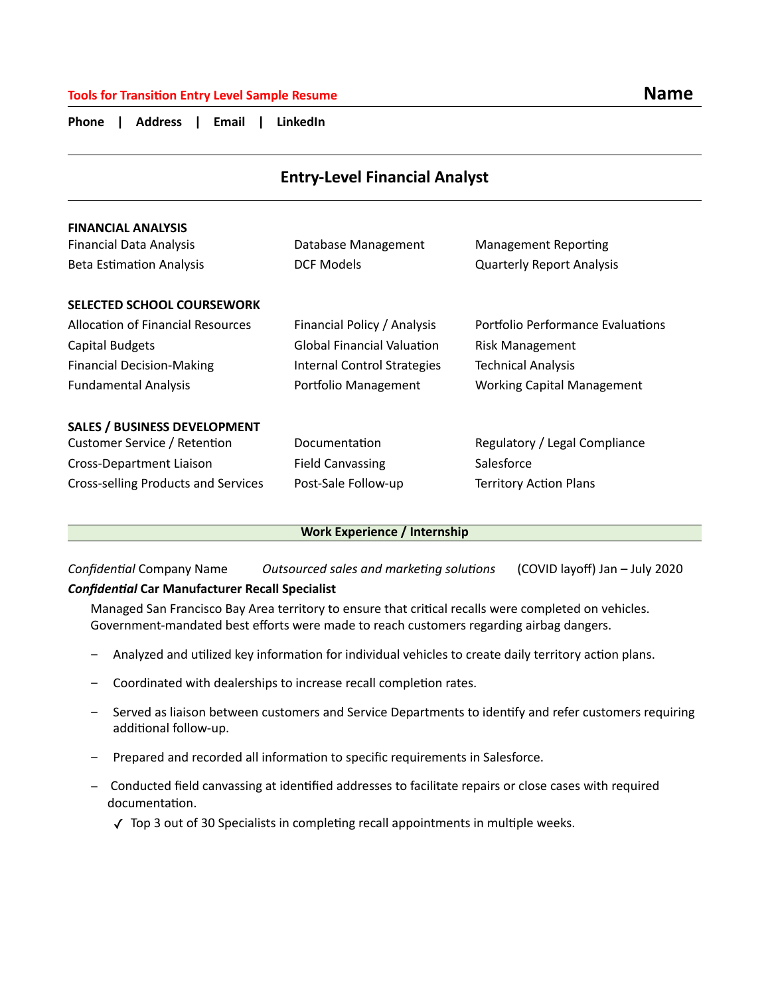# **Tools for Transition Entry Level Sample Resume Name Name Name Name Name Name Name**

**Phone | Address | Email | LinkedIn** 

| <b>Entry-Level Financial Analyst</b> |                                   |                                   |
|--------------------------------------|-----------------------------------|-----------------------------------|
| <b>FINANCIAL ANALYSIS</b>            |                                   |                                   |
| <b>Financial Data Analysis</b>       | Database Management               | <b>Management Reporting</b>       |
| <b>Beta Estimation Analysis</b>      | <b>DCF Models</b>                 | <b>Quarterly Report Analysis</b>  |
| <b>SELECTED SCHOOL COURSEWORK</b>    |                                   |                                   |
| Allocation of Financial Resources    | Financial Policy / Analysis       | Portfolio Performance Evaluations |
| Capital Budgets                      | <b>Global Financial Valuation</b> | <b>Risk Management</b>            |
| <b>Financial Decision-Making</b>     | Internal Control Strategies       | <b>Technical Analysis</b>         |
| <b>Fundamental Analysis</b>          | Portfolio Management              | <b>Working Capital Management</b> |
| <b>SALES / BUSINESS DEVELOPMENT</b>  |                                   |                                   |
| Customer Service / Retention         | Documentation                     | Regulatory / Legal Compliance     |
| Cross-Department Liaison             | <b>Field Canvassing</b>           | Salesforce                        |
| Cross-selling Products and Services  | Post-Sale Follow-up               | <b>Territory Action Plans</b>     |

### **Work Experience / Internship**

*Confidential* Company Name *Outsourced sales and marketing solutions* (COVID layoff) Jan – July 2020

# *Confidential* **Car Manufacturer Recall Specialist**

Managed San Francisco Bay Area territory to ensure that critical recalls were completed on vehicles. Government-mandated best efforts were made to reach customers regarding airbag dangers.

- − Analyzed and utilized key information for individual vehicles to create daily territory action plans.
- − Coordinated with dealerships to increase recall completion rates.
- Served as liaison between customers and Service Departments to identify and refer customers requiring additional follow-up.
- − Prepared and recorded all information to specific requirements in Salesforce.
- − Conducted field canvassing at identified addresses to facilitate repairs or close cases with required documentation.
	- ✓ Top 3 out of 30 Specialists in completing recall appointments in multiple weeks.